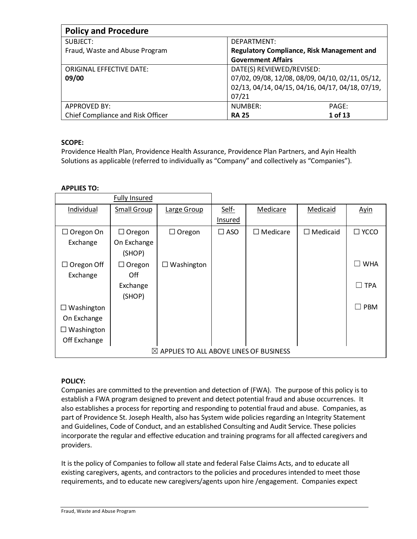| <b>Policy and Procedure</b>       |                                                   |         |
|-----------------------------------|---------------------------------------------------|---------|
| SUBJECT:                          | DEPARTMENT:                                       |         |
| Fraud, Waste and Abuse Program    | <b>Regulatory Compliance, Risk Management and</b> |         |
|                                   | <b>Government Affairs</b>                         |         |
| ORIGINAL EFFECTIVE DATE:          | DATE(S) REVIEWED/REVISED:                         |         |
| 09/00                             | 07/02, 09/08, 12/08, 08/09, 04/10, 02/11, 05/12,  |         |
|                                   | 02/13, 04/14, 04/15, 04/16, 04/17, 04/18, 07/19,  |         |
|                                   | 07/21                                             |         |
| <b>APPROVED BY:</b>               | NUMBER:                                           | PAGE:   |
| Chief Compliance and Risk Officer | <b>RA 25</b>                                      | 1 of 13 |

# **SCOPE:**

Providence Health Plan, Providence Health Assurance, Providence Plan Partners, and Ayin Health Solutions as applicable (referred to individually as "Company" and collectively as "Companies").

# **APPLIES TO:**

|                   | <b>Fully Insured</b> |                                                    |               |                 |                 |                      |
|-------------------|----------------------|----------------------------------------------------|---------------|-----------------|-----------------|----------------------|
| Individual        | Small Group          | Large Group                                        | Self-         | Medicare        | Medicaid        | Ayin                 |
|                   |                      |                                                    | Insured       |                 |                 |                      |
| $\Box$ Oregon On  | $\Box$ Oregon        | $\Box$ Oregon                                      | $\square$ ASO | $\Box$ Medicare | $\Box$ Medicaid | □ ҮССО               |
| Exchange          | On Exchange          |                                                    |               |                 |                 |                      |
|                   | (SHOP)               |                                                    |               |                 |                 |                      |
| Oregon Off        | $\Box$ Oregon        | $\Box$ Washington                                  |               |                 |                 | <b>WHA</b><br>$\Box$ |
| Exchange          | Off                  |                                                    |               |                 |                 |                      |
|                   | Exchange             |                                                    |               |                 |                 | $\Box$ TPA           |
|                   | (SHOP)               |                                                    |               |                 |                 |                      |
| $\Box$ Washington |                      |                                                    |               |                 |                 | <b>PBM</b><br>П      |
| On Exchange       |                      |                                                    |               |                 |                 |                      |
| $\Box$ Washington |                      |                                                    |               |                 |                 |                      |
| Off Exchange      |                      |                                                    |               |                 |                 |                      |
|                   |                      | $\boxtimes$ APPLIES TO ALL ABOVE LINES OF BUSINESS |               |                 |                 |                      |

# **POLICY:**

Companies are committed to the prevention and detection of (FWA). The purpose of this policy is to establish a FWA program designed to prevent and detect potential fraud and abuse occurrences. It also establishes a process for reporting and responding to potential fraud and abuse. Companies, as part of Providence St. Joseph Health, also has System wide policies regarding an Integrity Statement and Guidelines, Code of Conduct, and an established Consulting and Audit Service. These policies incorporate the regular and effective education and training programs for all affected caregivers and providers.

It is the policy of Companies to follow all state and federal False Claims Acts, and to educate all existing caregivers, agents, and contractors to the policies and procedures intended to meet those requirements, and to educate new caregivers/agents upon hire /engagement. Companies expect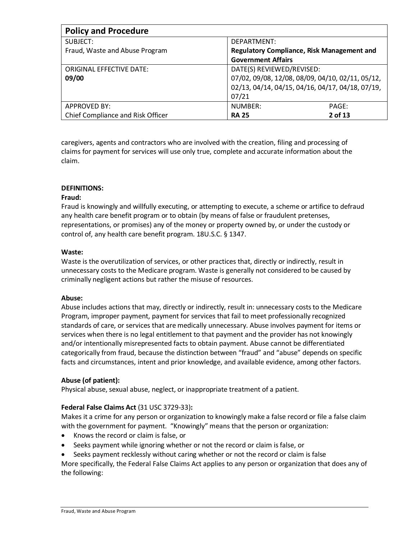| <b>Policy and Procedure</b>       |                                                   |
|-----------------------------------|---------------------------------------------------|
| SUBJECT:                          | DEPARTMENT:                                       |
| Fraud, Waste and Abuse Program    | <b>Regulatory Compliance, Risk Management and</b> |
|                                   | <b>Government Affairs</b>                         |
| <b>ORIGINAL EFFECTIVE DATE:</b>   | DATE(S) REVIEWED/REVISED:                         |
| 09/00                             | 07/02, 09/08, 12/08, 08/09, 04/10, 02/11, 05/12,  |
|                                   | 02/13, 04/14, 04/15, 04/16, 04/17, 04/18, 07/19,  |
|                                   | 07/21                                             |
| <b>APPROVED BY:</b>               | NUMBER:<br>PAGE:                                  |
| Chief Compliance and Risk Officer | 2 of 13<br><b>RA 25</b>                           |

caregivers, agents and contractors who are involved with the creation, filing and processing of claims for payment for services will use only true, complete and accurate information about the claim.

### **DEFINITIONS:**

### **Fraud:**

Fraud is knowingly and willfully executing, or attempting to execute, a scheme or artifice to defraud any health care benefit program or to obtain (by means of false or fraudulent pretenses, representations, or promises) any of the money or property owned by, or under the custody or control of, any health care benefit program. 18U.S.C. § 1347.

### **Waste:**

Waste is the overutilization of services, or other practices that, directly or indirectly, result in unnecessary costs to the Medicare program. Waste is generally not considered to be caused by criminally negligent actions but rather the misuse of resources.

#### **Abuse:**

Abuse includes actions that may, directly or indirectly, result in: unnecessary costs to the Medicare Program, improper payment, payment for services that fail to meet professionally recognized standards of care, or services that are medically unnecessary. Abuse involves payment for items or services when there is no legal entitlement to that payment and the provider has not knowingly and/or intentionally misrepresented facts to obtain payment. Abuse cannot be differentiated categorically from fraud, because the distinction between "fraud" and "abuse" depends on specific facts and circumstances, intent and prior knowledge, and available evidence, among other factors.

### **Abuse (of patient):**

Physical abuse, sexual abuse, neglect, or inappropriate treatment of a patient.

### **Federal False Claims Act** (31 USC 3729-33)**:**

Makes it a crime for any person or organization to knowingly make a false record or file a false claim with the government for payment. "Knowingly" means that the person or organization:

- Knows the record or claim is false, or
- Seeks payment while ignoring whether or not the record or claim is false, or

• Seeks payment recklessly without caring whether or not the record or claim is false More specifically, the Federal False Claims Act applies to any person or organization that does any of the following: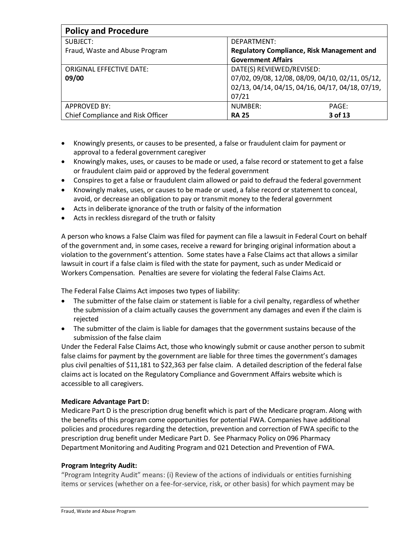| <b>Policy and Procedure</b>       |                                                   |
|-----------------------------------|---------------------------------------------------|
| SUBJECT:                          | DEPARTMENT:                                       |
| Fraud, Waste and Abuse Program    | <b>Regulatory Compliance, Risk Management and</b> |
|                                   | <b>Government Affairs</b>                         |
| <b>ORIGINAL EFFECTIVE DATE:</b>   | DATE(S) REVIEWED/REVISED:                         |
| 09/00                             | 07/02, 09/08, 12/08, 08/09, 04/10, 02/11, 05/12,  |
|                                   | 02/13, 04/14, 04/15, 04/16, 04/17, 04/18, 07/19,  |
|                                   | 07/21                                             |
| <b>APPROVED BY:</b>               | NUMBER:<br>PAGE:                                  |
| Chief Compliance and Risk Officer | 3 of 13<br><b>RA 25</b>                           |

- Knowingly presents, or causes to be presented, a false or fraudulent claim for payment or approval to a federal government caregiver
- Knowingly makes, uses, or causes to be made or used, a false record or statement to get a false or fraudulent claim paid or approved by the federal government
- Conspires to get a false or fraudulent claim allowed or paid to defraud the federal government
- Knowingly makes, uses, or causes to be made or used, a false record or statement to conceal, avoid, or decrease an obligation to pay or transmit money to the federal government
- Acts in deliberate ignorance of the truth or falsity of the information
- Acts in reckless disregard of the truth or falsity

A person who knows a False Claim was filed for payment can file a lawsuit in Federal Court on behalf of the government and, in some cases, receive a reward for bringing original information about a violation to the government's attention. Some states have a False Claims act that allows a similar lawsuit in court if a false claim is filed with the state for payment, such as under Medicaid or Workers Compensation. Penalties are severe for violating the federal False Claims Act.

The Federal False Claims Act imposes two types of liability:

- The submitter of the false claim or statement is liable for a civil penalty, regardless of whether the submission of a claim actually causes the government any damages and even if the claim is rejected
- The submitter of the claim is liable for damages that the government sustains because of the submission of the false claim

Under the Federal False Claims Act, those who knowingly submit or cause another person to submit false claims for payment by the government are liable for three times the government's damages plus civil penalties of \$11,181 to \$22,363 per false claim. A detailed description of the federal false claims act is located on the Regulatory Compliance and Government Affairs website which is accessible to all caregivers.

### **Medicare Advantage Part D:**

Medicare Part D is the prescription drug benefit which is part of the Medicare program. Along with the benefits of this program come opportunities for potential FWA. Companies have additional policies and procedures regarding the detection, prevention and correction of FWA specific to the prescription drug benefit under Medicare Part D. See Pharmacy Policy on 096 Pharmacy Department Monitoring and Auditing Program and 021 Detection and Prevention of FWA.

### **Program Integrity Audit:**

"Program Integrity Audit" means: (i) Review of the actions of individuals or entities furnishing items or services (whether on a fee-for-service, risk, or other basis) for which payment may be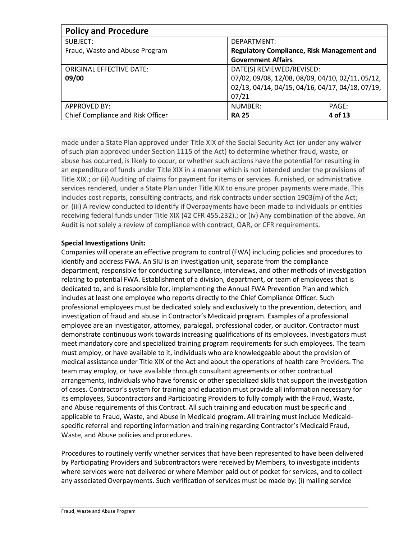| <b>Policy and Procedure</b>       |                                                  |
|-----------------------------------|--------------------------------------------------|
| SUBJECT:                          | DEPARTMENT:                                      |
| Fraud, Waste and Abuse Program    | Regulatory Compliance, Risk Management and       |
|                                   | <b>Government Affairs</b>                        |
| <b>ORIGINAL EFFECTIVE DATE:</b>   | DATE(S) REVIEWED/REVISED:                        |
| 09/00                             | 07/02, 09/08, 12/08, 08/09, 04/10, 02/11, 05/12, |
|                                   | 02/13, 04/14, 04/15, 04/16, 04/17, 04/18, 07/19, |
|                                   | 07/21                                            |
| <b>APPROVED BY:</b>               | NUMBER:<br>PAGE:                                 |
| Chief Compliance and Risk Officer | 4 of 13<br><b>RA 25</b>                          |

made under a State Plan approved under Title XIX of the Social Security Act (or under any waiver of such plan approved under Section 1115 of the Act) to determine whether fraud, waste, or abuse has occurred, is likely to occur, or whether such actions have the potential for resulting in an expenditure of funds under Title XIX in a manner which is not intended under the provisions of Title XIX.; or (ii) Auditing of claims for payment for items or services furnished, or administrative services rendered, under a State Plan under Title XIX to ensure proper payments were made. This includes cost reports, consulting contracts, and risk contracts under section 1903(m) of the Act; or (iii) A review conducted to identify if Overpayments have been made to individuals or entities receiving federal funds under Title XIX (42 CFR 455.232).; or (iv) Any combination of the above. An Audit is not solely a review of compliance with contract, OAR, or CFR requirements.

### **Special Investigations Unit:**

Companies will operate an effective program to control (FWA) including policies and procedures to identify and address FWA. An SIU is an investigation unit, separate from the compliance department, responsible for conducting surveillance, interviews, and other methods of investigation relating to potential FWA. Establishment of a division, department, or team of employees that is dedicated to, and is responsible for, implementing the Annual FWA Prevention Plan and which includes at least one employee who reports directly to the Chief Compliance Officer. Such professional employees must be dedicated solely and exclusively to the prevention, detection, and investigation of fraud and abuse in Contractor's Medicaid program. Examples of a professional employee are an investigator, attorney, paralegal, professional coder, or auditor. Contractor must demonstrate continuous work towards increasing qualifications of its employees. Investigators must meet mandatory core and specialized training program requirements for such employees. The team must employ, or have available to it, individuals who are knowledgeable about the provision of medical assistance under Title XIX of the Act and about the operations of health care Providers. The team may employ, or have available through consultant agreements or other contractual arrangements, individuals who have forensic or other specialized skills that support the investigation of cases. Contractor's system for training and education must provide all information necessary for its employees, Subcontractors and Participating Providers to fully comply with the Fraud, Waste, and Abuse requirements of this Contract. All such training and education must be specific and applicable to Fraud, Waste, and Abuse in Medicaid program. All training must include Medicaidspecific referral and reporting information and training regarding Contractor's Medicaid Fraud, Waste, and Abuse policies and procedures.

Procedures to routinely verify whether services that have been represented to have been delivered by Participating Providers and Subcontractors were received by Members, to investigate incidents where services were not delivered or where Member paid out of pocket for services, and to collect any associated Overpayments. Such verification of services must be made by: (i) mailing service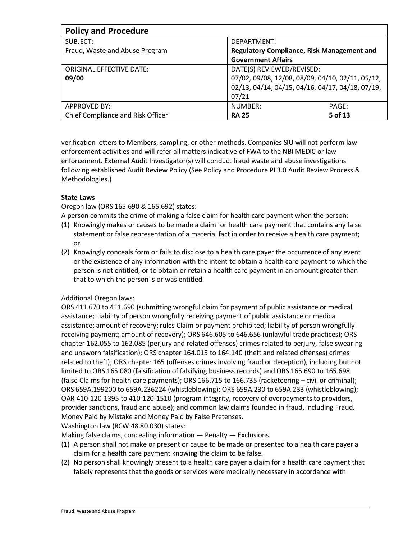| <b>Policy and Procedure</b>       |                                                   |
|-----------------------------------|---------------------------------------------------|
| SUBJECT:                          | DEPARTMENT:                                       |
| Fraud, Waste and Abuse Program    | <b>Regulatory Compliance, Risk Management and</b> |
|                                   | <b>Government Affairs</b>                         |
| <b>ORIGINAL EFFECTIVE DATE:</b>   | DATE(S) REVIEWED/REVISED:                         |
| 09/00                             | 07/02, 09/08, 12/08, 08/09, 04/10, 02/11, 05/12,  |
|                                   | 02/13, 04/14, 04/15, 04/16, 04/17, 04/18, 07/19,  |
|                                   | 07/21                                             |
| <b>APPROVED BY:</b>               | NUMBER:<br>PAGE:                                  |
| Chief Compliance and Risk Officer | 5 of 13<br><b>RA 25</b>                           |

verification letters to Members, sampling, or other methods. Companies SIU will not perform law enforcement activities and will refer all matters indicative of FWA to the NBI MEDIC or law enforcement. External Audit Investigator(s) will conduct fraud waste and abuse investigations following established Audit Review Policy (See Policy and Procedure PI 3.0 Audit Review Process & Methodologies.)

# **State Laws**

Oregon law (ORS 165.690 & 165.692) states:

A person commits the crime of making a false claim for health care payment when the person:

- (1) Knowingly makes or causes to be made a claim for health care payment that contains any false statement or false representation of a material fact in order to receive a health care payment; or
- (2) Knowingly conceals form or fails to disclose to a health care payer the occurrence of any event or the existence of any information with the intent to obtain a health care payment to which the person is not entitled, or to obtain or retain a health care payment in an amount greater than that to which the person is or was entitled.

# Additional Oregon laws:

ORS 411.670 to 411.690 (submitting wrongful claim for payment of public assistance or medical assistance; Liability of person wrongfully receiving payment of public assistance or medical assistance; amount of recovery; rules Claim or payment prohibited; liability of person wrongfully receiving payment; amount of recovery); ORS 646.605 to 646.656 (unlawful trade practices); ORS chapter 162.055 to 162.085 (perjury and related offenses) crimes related to perjury, false swearing and unsworn falsification); ORS chapter 164.015 to 164.140 (theft and related offenses) crimes related to theft); ORS chapter 165 (offenses crimes involving fraud or deception), including but not limited to ORS 165.080 (falsification of falsifying business records) and ORS 165.690 to 165.698 (false Claims for health care payments); ORS 166.715 to 166.735 (racketeering – civil or criminal); ORS 659A.199200 to 659A.236224 (whistleblowing); ORS 659A.230 to 659A.233 (whistleblowing); OAR 410-120-1395 to 410-120-1510 (program integrity, recovery of overpayments to providers, provider sanctions, fraud and abuse); and common law claims founded in fraud, including Fraud, Money Paid by Mistake and Money Paid by False Pretenses.

Washington law (RCW 48.80.030) states:

Making false claims, concealing information — Penalty — Exclusions.

- (1) A person shall not make or present or cause to be made or presented to a health care payer a claim for a health care payment knowing the claim to be false.
- (2) No person shall knowingly present to a health care payer a claim for a health care payment that falsely represents that the goods or services were medically necessary in accordance with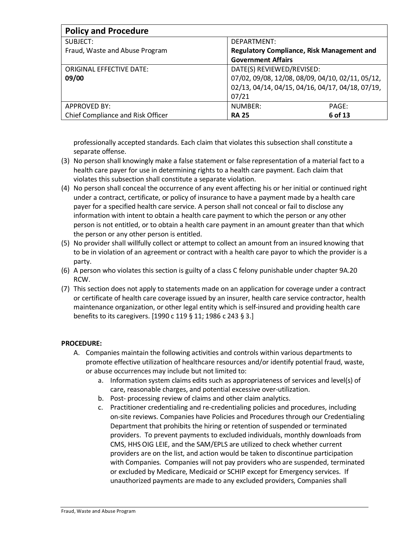| <b>Policy and Procedure</b>       |                                                   |
|-----------------------------------|---------------------------------------------------|
| SUBJECT:                          | DEPARTMENT:                                       |
| Fraud, Waste and Abuse Program    | <b>Regulatory Compliance, Risk Management and</b> |
|                                   | <b>Government Affairs</b>                         |
| ORIGINAL EFFECTIVE DATE:          | DATE(S) REVIEWED/REVISED:                         |
| 09/00                             | 07/02, 09/08, 12/08, 08/09, 04/10, 02/11, 05/12,  |
|                                   | 02/13, 04/14, 04/15, 04/16, 04/17, 04/18, 07/19,  |
|                                   | 07/21                                             |
| <b>APPROVED BY:</b>               | NUMBER:<br>PAGE:                                  |
| Chief Compliance and Risk Officer | 6 of 13<br><b>RA 25</b>                           |

professionally accepted standards. Each claim that violates this subsection shall constitute a separate offense.

- (3) No person shall knowingly make a false statement or false representation of a material fact to a health care payer for use in determining rights to a health care payment. Each claim that violates this subsection shall constitute a separate violation.
- (4) No person shall conceal the occurrence of any event affecting his or her initial or continued right under a contract, certificate, or policy of insurance to have a payment made by a health care payer for a specified health care service. A person shall not conceal or fail to disclose any information with intent to obtain a health care payment to which the person or any other person is not entitled, or to obtain a health care payment in an amount greater than that which the person or any other person is entitled.
- (5) No provider shall willfully collect or attempt to collect an amount from an insured knowing that to be in violation of an agreement or contract with a health care payor to which the provider is a party.
- (6) A person who violates this section is guilty of a class C felony punishable under chapter 9A.20 RCW.
- (7) This section does not apply to statements made on an application for coverage under a contract or certificate of health care coverage issued by an insurer, health care service contractor, health maintenance organization, or other legal entity which is self-insured and providing health care benefits to its caregivers. [1990 c 119 § 11; 1986 c 243 § 3.]

# **PROCEDURE:**

- A. Companies maintain the following activities and controls within various departments to promote effective utilization of healthcare resources and/or identify potential fraud, waste, or abuse occurrences may include but not limited to:
	- a. Information system claims edits such as appropriateness of services and level(s) of care, reasonable charges, and potential excessive over-utilization.
	- b. Post- processing review of claims and other claim analytics.
	- c. Practitioner credentialing and re-credentialing policies and procedures, including on-site reviews. Companies have Policies and Procedures through our Credentialing Department that prohibits the hiring or retention of suspended or terminated providers. To prevent payments to excluded individuals, monthly downloads from CMS, HHS OIG LEIE, and the SAM/EPLS are utilized to check whether current providers are on the list, and action would be taken to discontinue participation with Companies. Companies will not pay providers who are suspended, terminated or excluded by Medicare, Medicaid or SCHIP except for Emergency services. If unauthorized payments are made to any excluded providers, Companies shall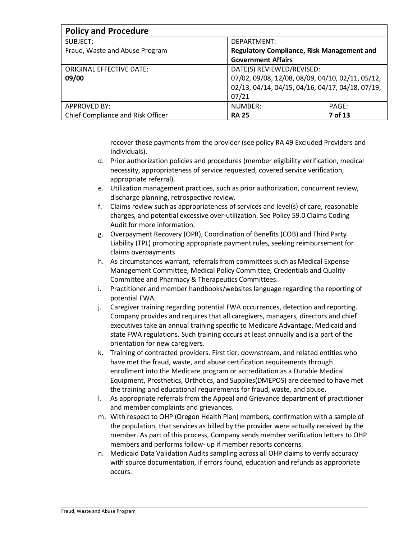| <b>Policy and Procedure</b>       |                                                  |
|-----------------------------------|--------------------------------------------------|
| SUBJECT:                          | DEPARTMENT:                                      |
| Fraud, Waste and Abuse Program    | Regulatory Compliance, Risk Management and       |
|                                   | <b>Government Affairs</b>                        |
| <b>ORIGINAL EFFECTIVE DATE:</b>   | DATE(S) REVIEWED/REVISED:                        |
| 09/00                             | 07/02, 09/08, 12/08, 08/09, 04/10, 02/11, 05/12, |
|                                   | 02/13, 04/14, 04/15, 04/16, 04/17, 04/18, 07/19, |
|                                   | 07/21                                            |
| <b>APPROVED BY:</b>               | NUMBER:<br>PAGE:                                 |
| Chief Compliance and Risk Officer | 7 of 13<br><b>RA 25</b>                          |

recover those payments from the provider (see policy RA 49 Excluded Providers and Individuals).

- d. Prior authorization policies and procedures (member eligibility verification, medical necessity, appropriateness of service requested, covered service verification, appropriate referral).
- e. Utilization management practices, such as prior authorization, concurrent review, discharge planning, retrospective review.
- f. Claims review such as appropriateness of services and level(s) of care, reasonable charges, and potential excessive over-utilization. See Policy 59.0 Claims Coding Audit for more information.
- g. Overpayment Recovery (OPR), Coordination of Benefits (COB) and Third Party Liability (TPL) promoting appropriate payment rules, seeking reimbursement for claims overpayments
- h. As circumstances warrant, referrals from committees such as Medical Expense Management Committee, Medical Policy Committee, Credentials and Quality Committee and Pharmacy & Therapeutics Committees.
- i. Practitioner and member handbooks/websites language regarding the reporting of potential FWA.
- j. Caregiver training regarding potential FWA occurrences, detection and reporting. Company provides and requires that all caregivers, managers, directors and chief executives take an annual training specific to Medicare Advantage, Medicaid and state FWA regulations. Such training occurs at least annually and is a part of the orientation for new caregivers.
- k. Training of contracted providers. First tier, downstream, and related entities who have met the fraud, waste, and abuse certification requirements through enrollment into the Medicare program or accreditation as a Durable Medical Equipment, Prosthetics, Orthotics, and Supplies(DMEPOS) are deemed to have met the training and educational requirements for fraud, waste, and abuse.
- l. As appropriate referrals from the Appeal and Grievance department of practitioner and member complaints and grievances.
- m. With respect to OHP (Oregon Health Plan) members, confirmation with a sample of the population, that services as billed by the provider were actually received by the member. As part of this process, Company sends member verification letters to OHP members and performs follow- up if member reports concerns.
- n. Medicaid Data Validation Audits sampling across all OHP claims to verify accuracy with source documentation, if errors found, education and refunds as appropriate occurs.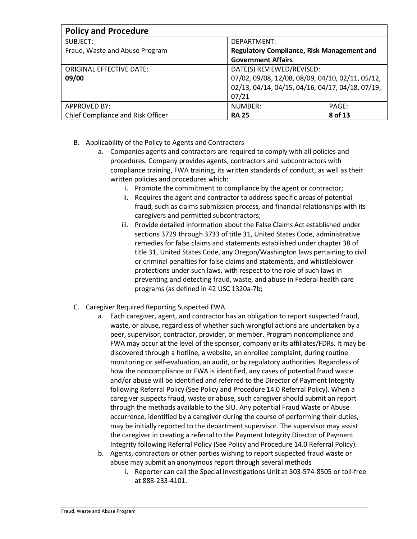| <b>Policy and Procedure</b>       |                                                   |
|-----------------------------------|---------------------------------------------------|
| SUBJECT:                          | DEPARTMENT:                                       |
| Fraud, Waste and Abuse Program    | <b>Regulatory Compliance, Risk Management and</b> |
|                                   | <b>Government Affairs</b>                         |
| <b>ORIGINAL EFFECTIVE DATE:</b>   | DATE(S) REVIEWED/REVISED:                         |
| 09/00                             | 07/02, 09/08, 12/08, 08/09, 04/10, 02/11, 05/12,  |
|                                   | 02/13, 04/14, 04/15, 04/16, 04/17, 04/18, 07/19,  |
|                                   | 07/21                                             |
| <b>APPROVED BY:</b>               | NUMBER:<br>PAGE:                                  |
| Chief Compliance and Risk Officer | 8 of 13<br><b>RA 25</b>                           |

- B. Applicability of the Policy to Agents and Contractors
	- a. Companies agents and contractors are required to comply with all policies and procedures. Company provides agents, contractors and subcontractors with compliance training, FWA training, its written standards of conduct, as well as their written policies and procedures which:
		- i. Promote the commitment to compliance by the agent or contractor;
		- ii. Requires the agent and contractor to address specific areas of potential fraud, such as claims submission process, and financial relationships with its caregivers and permitted subcontractors;
		- iii. Provide detailed information about the False Claims Act established under sections 3729 through 3733 of title 31, United States Code, administrative remedies for false claims and statements established under chapter 38 of title 31, United States Code, any Oregon/Washington laws pertaining to civil or criminal penalties for false claims and statements, and whistleblower protections under such laws, with respect to the role of such laws in preventing and detecting fraud, waste, and abuse in Federal health care programs (as defined in 42 USC 1320a-7b;
- C. Caregiver Required Reporting Suspected FWA
	- a. Each caregiver, agent, and contractor has an obligation to report suspected fraud, waste, or abuse, regardless of whether such wrongful actions are undertaken by a peer, supervisor, contractor, provider, or member. Program noncompliance and FWA may occur at the level of the sponsor, company or its affiliates/FDRs. It may be discovered through a hotline, a website, an enrollee complaint, during routine monitoring or self-evaluation, an audit, or by regulatory authorities. Regardless of how the noncompliance or FWA is identified, any cases of potential fraud waste and/or abuse will be identified and referred to the Director of Payment Integrity following Referral Policy (See Policy and Procedure 14.0 Referral Policy). When a caregiver suspects fraud, waste or abuse, such caregiver should submit an report through the methods available to the SIU. Any potential Fraud Waste or Abuse occurrence, identified by a caregiver during the course of performing their duties, may be initially reported to the department supervisor. The supervisor may assist the caregiver in creating a referral to the Payment Integrity Director of Payment Integrity following Referral Policy (See Policy and Procedure 14.0 Referral Policy).
	- b. Agents, contractors or other parties wishing to report suspected fraud waste or abuse may submit an anonymous report through several methods
		- i. Reporter can call the Special Investigations Unit at 503-574-8505 or toll-free at 888-233-4101.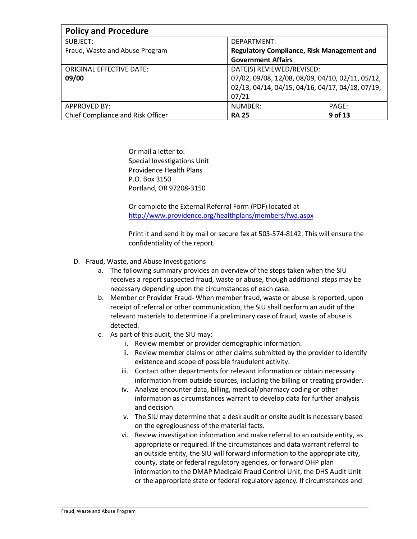| <b>Policy and Procedure</b>       |                                                   |
|-----------------------------------|---------------------------------------------------|
| SUBJECT:                          | DEPARTMENT:                                       |
| Fraud, Waste and Abuse Program    | <b>Regulatory Compliance, Risk Management and</b> |
|                                   | <b>Government Affairs</b>                         |
| ORIGINAL EFFECTIVE DATE:          | DATE(S) REVIEWED/REVISED:                         |
| 09/00                             | 07/02, 09/08, 12/08, 08/09, 04/10, 02/11, 05/12,  |
|                                   | 02/13, 04/14, 04/15, 04/16, 04/17, 04/18, 07/19,  |
|                                   | 07/21                                             |
| <b>APPROVED BY:</b>               | NUMBER:<br>PAGE:                                  |
| Chief Compliance and Risk Officer | 9 of 13<br><b>RA 25</b>                           |

Or mail a letter to: Special Investigations Unit Providence Health Plans P.O. Box 3150 Portland, OR 97208-3150

Or complete the External Referral Form (PDF) located at <http://www.providence.org/healthplans/members/fwa.aspx>

Print it and send it by mail or secure fax at 503-574-8142. This will ensure the confidentiality of the report.

- D. Fraud, Waste, and Abuse Investigations
	- a. The following summary provides an overview of the steps taken when the SIU receives a report suspected fraud, waste or abuse, though additional steps may be necessary depending upon the circumstances of each case.
	- b. Member or Provider Fraud- When member fraud, waste or abuse is reported, upon receipt of referral or other communication, the SIU shall perform an audit of the relevant materials to determine if a preliminary case of fraud, waste of abuse is detected.
	- c. As part of this audit, the SIU may:
		- i. Review member or provider demographic information.
		- ii. Review member claims or other claims submitted by the provider to identify existence and scope of possible fraudulent activity.
		- iii. Contact other departments for relevant information or obtain necessary information from outside sources, including the billing or treating provider.
		- iv. Analyze encounter data, billing, medical/pharmacy coding or other information as circumstances warrant to develop data for further analysis and decision.
		- v. The SIU may determine that a desk audit or onsite audit is necessary based on the egregiousness of the material facts.
		- vi. Review investigation information and make referral to an outside entity, as appropriate or required. If the circumstances and data warrant referral to an outside entity, the SIU will forward information to the appropriate city, county, state or federal regulatory agencies, or forward OHP plan information to the DMAP Medicaid Fraud Control Unit, the DHS Audit Unit or the appropriate state or federal regulatory agency. If circumstances and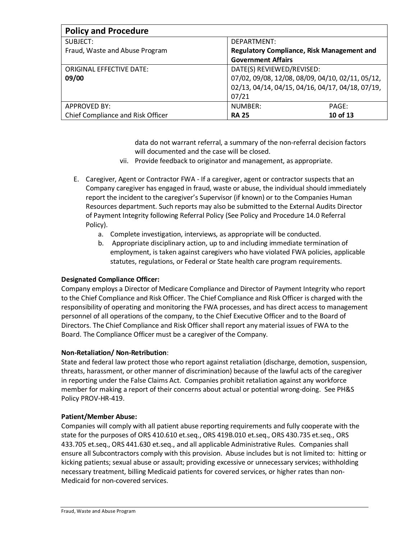| <b>Policy and Procedure</b>       |                                                  |
|-----------------------------------|--------------------------------------------------|
| SUBJECT:                          | DEPARTMENT:                                      |
| Fraud, Waste and Abuse Program    | Regulatory Compliance, Risk Management and       |
|                                   | <b>Government Affairs</b>                        |
| <b>ORIGINAL EFFECTIVE DATE:</b>   | DATE(S) REVIEWED/REVISED:                        |
| 09/00                             | 07/02, 09/08, 12/08, 08/09, 04/10, 02/11, 05/12, |
|                                   | 02/13, 04/14, 04/15, 04/16, 04/17, 04/18, 07/19, |
|                                   | 07/21                                            |
| <b>APPROVED BY:</b>               | NUMBER:<br>PAGE:                                 |
| Chief Compliance and Risk Officer | 10 of 13<br><b>RA 25</b>                         |

data do not warrant referral, a summary of the non-referral decision factors will documented and the case will be closed.

- vii. Provide feedback to originator and management, as appropriate.
- E. Caregiver, Agent or Contractor FWA If a caregiver, agent or contractor suspects that an Company caregiver has engaged in fraud, waste or abuse, the individual should immediately report the incident to the caregiver's Supervisor (if known) or to the Companies Human Resources department. Such reports may also be submitted to the External Audits Director of Payment Integrity following Referral Policy (See Policy and Procedure 14.0 Referral Policy).
	- a. Complete investigation, interviews, as appropriate will be conducted.
	- b. Appropriate disciplinary action, up to and including immediate termination of employment, is taken against caregivers who have violated FWA policies, applicable statutes, regulations, or Federal or State health care program requirements.

### **Designated Compliance Officer:**

Company employs a Director of Medicare Compliance and Director of Payment Integrity who report to the Chief Compliance and Risk Officer. The Chief Compliance and Risk Officer is charged with the responsibility of operating and monitoring the FWA processes, and has direct access to management personnel of all operations of the company, to the Chief Executive Officer and to the Board of Directors. The Chief Compliance and Risk Officer shall report any material issues of FWA to the Board. The Compliance Officer must be a caregiver of the Company.

### **Non-Retaliation/ Non-Retribution**:

State and federal law protect those who report against retaliation (discharge, demotion, suspension, threats, harassment, or other manner of discrimination) because of the lawful acts of the caregiver in reporting under the False Claims Act. Companies prohibit retaliation against any workforce member for making a report of their concerns about actual or potential wrong-doing. See PH&S Policy PROV-HR-419.

### **Patient/Member Abuse:**

Companies will comply with all patient abuse reporting requirements and fully cooperate with the state for the purposes of ORS 410.610 et.seq., ORS 419B.010 et.seq., ORS 430.735 et.seq., ORS 433.705 et.seq., ORS 441.630 et.seq., and all applicable Administrative Rules. Companies shall ensure all Subcontractors comply with this provision. Abuse includes but is not limited to: hitting or kicking patients; sexual abuse or assault; providing excessive or unnecessary services; withholding necessary treatment, billing Medicaid patients for covered services, or higher rates than non-Medicaid for non-covered services.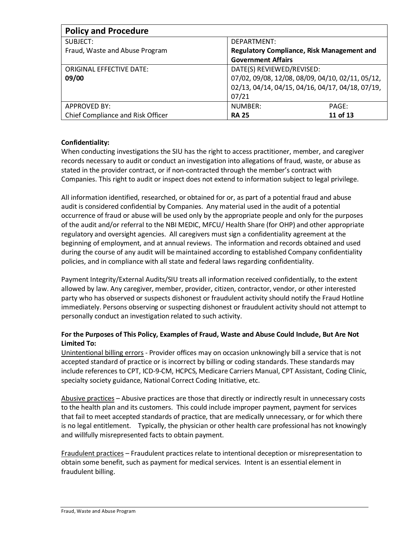| <b>Policy and Procedure</b>       |                                                   |
|-----------------------------------|---------------------------------------------------|
| SUBJECT:                          | DEPARTMENT:                                       |
| Fraud, Waste and Abuse Program    | <b>Regulatory Compliance, Risk Management and</b> |
|                                   | <b>Government Affairs</b>                         |
| <b>ORIGINAL EFFECTIVE DATE:</b>   | DATE(S) REVIEWED/REVISED:                         |
| 09/00                             | 07/02, 09/08, 12/08, 08/09, 04/10, 02/11, 05/12,  |
|                                   | 02/13, 04/14, 04/15, 04/16, 04/17, 04/18, 07/19,  |
|                                   | 07/21                                             |
| <b>APPROVED BY:</b>               | NUMBER:<br>PAGE:                                  |
| Chief Compliance and Risk Officer | 11 of 13<br><b>RA 25</b>                          |

# **Confidentiality:**

When conducting investigations the SIU has the right to access practitioner, member, and caregiver records necessary to audit or conduct an investigation into allegations of fraud, waste, or abuse as stated in the provider contract, or if non-contracted through the member's contract with Companies. This right to audit or inspect does not extend to information subject to legal privilege.

All information identified, researched, or obtained for or, as part of a potential fraud and abuse audit is considered confidential by Companies. Any material used in the audit of a potential occurrence of fraud or abuse will be used only by the appropriate people and only for the purposes of the audit and/or referral to the NBI MEDIC, MFCU/ Health Share (for OHP) and other appropriate regulatory and oversight agencies. All caregivers must sign a confidentiality agreement at the beginning of employment, and at annual reviews. The information and records obtained and used during the course of any audit will be maintained according to established Company confidentiality policies, and in compliance with all state and federal laws regarding confidentiality.

Payment Integrity/External Audits/SIU treats all information received confidentially, to the extent allowed by law. Any caregiver, member, provider, citizen, contractor, vendor, or other interested party who has observed or suspects dishonest or fraudulent activity should notify the Fraud Hotline immediately. Persons observing or suspecting dishonest or fraudulent activity should not attempt to personally conduct an investigation related to such activity.

# **For the Purposes of This Policy, Examples of Fraud, Waste and Abuse Could Include, But Are Not Limited To:**

Unintentional billing errors - Provider offices may on occasion unknowingly bill a service that is not accepted standard of practice or is incorrect by billing or coding standards. These standards may include references to CPT, ICD-9-CM, HCPCS, Medicare Carriers Manual, CPT Assistant, Coding Clinic, specialty society guidance, National Correct Coding Initiative, etc.

Abusive practices – Abusive practices are those that directly or indirectly result in unnecessary costs to the health plan and its customers. This could include improper payment, payment for services that fail to meet accepted standards of practice, that are medically unnecessary, or for which there is no legal entitlement. Typically, the physician or other health care professional has not knowingly and willfully misrepresented facts to obtain payment.

Fraudulent practices – Fraudulent practices relate to intentional deception or misrepresentation to obtain some benefit, such as payment for medical services. Intent is an essential element in fraudulent billing.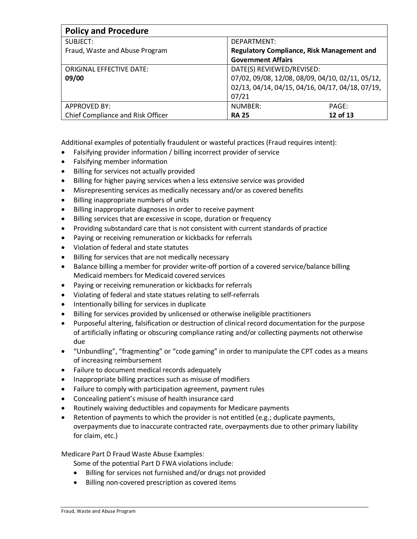| <b>Policy and Procedure</b>       |                                                  |          |
|-----------------------------------|--------------------------------------------------|----------|
| SUBJECT:                          | DEPARTMENT:                                      |          |
| Fraud, Waste and Abuse Program    | Regulatory Compliance, Risk Management and       |          |
|                                   | <b>Government Affairs</b>                        |          |
| ORIGINAL EFFECTIVE DATE:          | DATE(S) REVIEWED/REVISED:                        |          |
| 09/00                             | 07/02, 09/08, 12/08, 08/09, 04/10, 02/11, 05/12, |          |
|                                   | 02/13, 04/14, 04/15, 04/16, 04/17, 04/18, 07/19, |          |
|                                   | 07/21                                            |          |
| <b>APPROVED BY:</b>               | NUMBER:                                          | PAGE:    |
| Chief Compliance and Risk Officer | <b>RA 25</b>                                     | 12 of 13 |

Additional examples of potentially fraudulent or wasteful practices (Fraud requires intent):

- Falsifying provider information / billing incorrect provider of service
- Falsifying member information
- Billing for services not actually provided
- Billing for higher paying services when a less extensive service was provided
- Misrepresenting services as medically necessary and/or as covered benefits
- Billing inappropriate numbers of units
- Billing inappropriate diagnoses in order to receive payment
- Billing services that are excessive in scope, duration or frequency
- Providing substandard care that is not consistent with current standards of practice
- Paying or receiving remuneration or kickbacks for referrals
- Violation of federal and state statutes
- Billing for services that are not medically necessary
- Balance billing a member for provider write-off portion of a covered service/balance billing Medicaid members for Medicaid covered services
- Paying or receiving remuneration or kickbacks for referrals
- Violating of federal and state statues relating to self-referrals
- Intentionally billing for services in duplicate
- Billing for services provided by unlicensed or otherwise ineligible practitioners
- Purposeful altering, falsification or destruction of clinical record documentation for the purpose of artificially inflating or obscuring compliance rating and/or collecting payments not otherwise due
- "Unbundling", "fragmenting" or "code gaming" in order to manipulate the CPT codes as a means of increasing reimbursement
- Failure to document medical records adequately
- Inappropriate billing practices such as misuse of modifiers
- Failure to comply with participation agreement, payment rules
- Concealing patient's misuse of health insurance card
- Routinely waiving deductibles and copayments for Medicare payments
- Retention of payments to which the provider is not entitled (e.g.; duplicate payments, overpayments due to inaccurate contracted rate, overpayments due to other primary liability for claim, etc.)

Medicare Part D Fraud Waste Abuse Examples:

Some of the potential Part D FWA violations include:

- Billing for services not furnished and/or drugs not provided
- Billing non-covered prescription as covered items